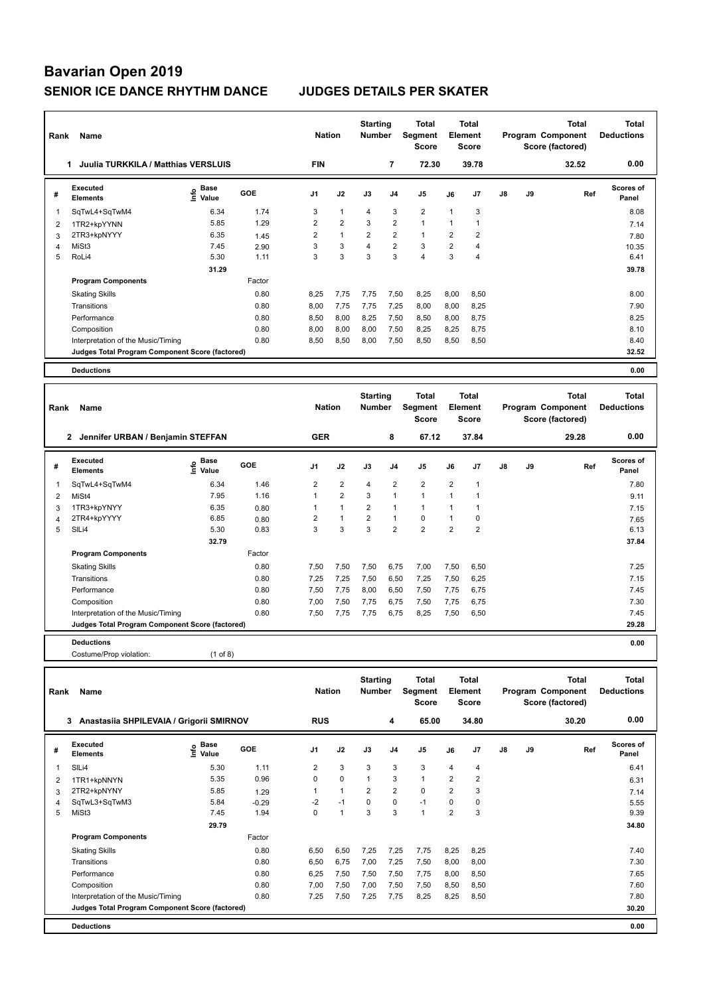| Rank           | Name                                            |                                  |        | <b>Nation</b>  |                | <b>Starting</b><br><b>Number</b> |                | Total<br>Segment<br><b>Score</b> |                | Total<br>Element<br><b>Score</b> |               |    | Total<br>Program Component<br>Score (factored) | <b>Total</b><br><b>Deductions</b> |
|----------------|-------------------------------------------------|----------------------------------|--------|----------------|----------------|----------------------------------|----------------|----------------------------------|----------------|----------------------------------|---------------|----|------------------------------------------------|-----------------------------------|
|                | Juulia TURKKILA / Matthias VERSLUIS<br>1.       |                                  |        | <b>FIN</b>     |                |                                  | $\overline{7}$ | 72.30                            |                | 39.78                            |               |    | 32.52                                          | 0.00                              |
| #              | Executed<br><b>Elements</b>                     | <b>Base</b><br>e Base<br>⊆ Value | GOE    | J <sub>1</sub> | J2             | J3                               | J4             | J <sub>5</sub>                   | J6             | J7                               | $\mathsf{J}8$ | J9 | Ref                                            | <b>Scores of</b><br>Panel         |
| 1              | SqTwL4+SqTwM4                                   | 6.34                             | 1.74   | 3              | $\mathbf{1}$   | $\overline{4}$                   | 3              | $\overline{2}$                   | $\mathbf{1}$   | 3                                |               |    |                                                | 8.08                              |
| 2              | 1TR2+kpYYNN                                     | 5.85                             | 1.29   | $\overline{2}$ | $\overline{2}$ | 3                                | $\overline{2}$ | $\mathbf{1}$                     | 1              | 1                                |               |    |                                                | 7.14                              |
| 3              | 2TR3+kpNYYY                                     | 6.35                             | 1.45   | $\overline{2}$ | $\mathbf{1}$   | $\overline{2}$                   | 2              | $\mathbf{1}$                     | $\overline{2}$ | $\overline{2}$                   |               |    |                                                | 7.80                              |
| $\overline{4}$ | MiSt3                                           | 7.45                             | 2.90   | 3              | 3              | $\overline{4}$                   | $\overline{2}$ | 3                                | $\overline{2}$ | $\overline{4}$                   |               |    |                                                | 10.35                             |
| 5              | RoLi4                                           | 5.30                             | 1.11   | 3              | 3              | 3                                | 3              | $\overline{4}$                   | 3              | $\overline{4}$                   |               |    |                                                | 6.41                              |
|                |                                                 | 31.29                            |        |                |                |                                  |                |                                  |                |                                  |               |    |                                                | 39.78                             |
|                | <b>Program Components</b>                       |                                  | Factor |                |                |                                  |                |                                  |                |                                  |               |    |                                                |                                   |
|                | <b>Skating Skills</b>                           |                                  | 0.80   | 8.25           | 7,75           | 7,75                             | 7,50           | 8,25                             | 8,00           | 8,50                             |               |    |                                                | 8.00                              |
|                | Transitions                                     |                                  | 0.80   | 8,00           | 7,75           | 7,75                             | 7,25           | 8,00                             | 8,00           | 8,25                             |               |    |                                                | 7.90                              |
|                | Performance                                     |                                  | 0.80   | 8,50           | 8,00           | 8,25                             | 7,50           | 8,50                             | 8,00           | 8,75                             |               |    |                                                | 8.25                              |
|                | Composition                                     |                                  | 0.80   | 8.00           | 8,00           | 8,00                             | 7,50           | 8,25                             | 8,25           | 8,75                             |               |    |                                                | 8.10                              |
|                | Interpretation of the Music/Timing              |                                  | 0.80   | 8,50           | 8,50           | 8,00                             | 7,50           | 8,50                             | 8,50           | 8,50                             |               |    |                                                | 8.40                              |
|                | Judges Total Program Component Score (factored) |                                  |        |                |                |                                  |                |                                  |                |                                  |               |    |                                                | 32.52                             |
|                | <b>Deductions</b>                               |                                  |        |                |                |                                  |                |                                  |                |                                  |               |    |                                                | 0.00                              |
|                |                                                 |                                  |        |                |                |                                  |                |                                  |                |                                  |               |    |                                                |                                   |

| Rank | Name                                              |                     |        | <b>Nation</b>  |                | <b>Starting</b><br><b>Number</b> |                | <b>Total</b><br>Segment<br><b>Score</b> |                | <b>Total</b><br>Element<br><b>Score</b> |    |    | <b>Total</b><br>Program Component<br>Score (factored) | <b>Total</b><br><b>Deductions</b> |
|------|---------------------------------------------------|---------------------|--------|----------------|----------------|----------------------------------|----------------|-----------------------------------------|----------------|-----------------------------------------|----|----|-------------------------------------------------------|-----------------------------------|
|      | $\mathbf{2}$<br>Jennifer URBAN / Benjamin STEFFAN |                     |        | <b>GER</b>     |                |                                  | 8              | 67.12                                   |                | 37.84                                   |    |    | 29.28                                                 | 0.00                              |
| #    | Executed<br><b>Elements</b>                       | e Base<br>E Value   | GOE    | J <sub>1</sub> | J2             | J3                               | J <sub>4</sub> | J <sub>5</sub>                          | J6             | J <sub>7</sub>                          | J8 | J9 | Ref                                                   | <b>Scores of</b><br>Panel         |
| 1    | SqTwL4+SqTwM4                                     | 6.34                | 1.46   | $\overline{2}$ | 2              | $\overline{4}$                   | $\overline{2}$ | $\overline{2}$                          | $\overline{2}$ |                                         |    |    |                                                       | 7.80                              |
| 2    | MiSt4                                             | 7.95                | 1.16   |                | $\overline{2}$ | 3                                | $\overline{1}$ | $\overline{1}$                          |                |                                         |    |    |                                                       | 9.11                              |
| 3    | 1TR3+kpYNYY                                       | 6.35                | 0.80   |                | $\overline{1}$ | $\overline{2}$                   | 1              | $\overline{1}$                          |                |                                         |    |    |                                                       | 7.15                              |
| 4    | 2TR4+kpYYYY                                       | 6.85                | 0.80   | 2              | $\overline{1}$ | $\overline{2}$                   | $\overline{1}$ | $\mathbf 0$                             |                | 0                                       |    |    |                                                       | 7.65                              |
| 5    | SIL <sub>i4</sub>                                 | 5.30                | 0.83   | 3              | 3              | 3                                | $\overline{2}$ | $\overline{2}$                          | $\overline{2}$ | $\overline{2}$                          |    |    |                                                       | 6.13                              |
|      |                                                   | 32.79               |        |                |                |                                  |                |                                         |                |                                         |    |    |                                                       | 37.84                             |
|      | <b>Program Components</b>                         |                     | Factor |                |                |                                  |                |                                         |                |                                         |    |    |                                                       |                                   |
|      | <b>Skating Skills</b>                             |                     | 0.80   | 7,50           | 7,50           | 7,50                             | 6,75           | 7,00                                    | 7,50           | 6,50                                    |    |    |                                                       | 7.25                              |
|      | Transitions                                       |                     | 0.80   | 7,25           | 7,25           | 7,50                             | 6,50           | 7,25                                    | 7,50           | 6,25                                    |    |    |                                                       | 7.15                              |
|      | Performance                                       |                     | 0.80   | 7,50           | 7,75           | 8,00                             | 6,50           | 7,50                                    | 7,75           | 6,75                                    |    |    |                                                       | 7.45                              |
|      | Composition                                       |                     | 0.80   | 7,00           | 7,50           | 7,75                             | 6,75           | 7,50                                    | 7,75           | 6,75                                    |    |    |                                                       | 7.30                              |
|      | Interpretation of the Music/Timing                |                     | 0.80   | 7,50           | 7,75           | 7,75                             | 6,75           | 8,25                                    | 7,50           | 6,50                                    |    |    |                                                       | 7.45                              |
|      | Judges Total Program Component Score (factored)   |                     |        |                |                |                                  |                |                                         |                |                                         |    |    |                                                       | 29.28                             |
|      | <b>Deductions</b>                                 |                     |        |                |                |                                  |                |                                         |                |                                         |    |    |                                                       | 0.00                              |
|      | Costume/Prop violation:                           | $(1 \text{ of } 8)$ |        |                |                |                                  |                |                                         |                |                                         |    |    |                                                       |                                   |

| Rank | Name                                            |                       |         | <b>Nation</b>  |                | <b>Starting</b><br><b>Number</b> |                | Total<br>Segment<br>Score |                | <b>Total</b><br>Element<br><b>Score</b> |               |    | <b>Total</b><br>Program Component<br>Score (factored) | Total<br><b>Deductions</b> |
|------|-------------------------------------------------|-----------------------|---------|----------------|----------------|----------------------------------|----------------|---------------------------|----------------|-----------------------------------------|---------------|----|-------------------------------------------------------|----------------------------|
|      | Anastasiia SHPILEVAIA / Grigorii SMIRNOV<br>3   |                       |         | <b>RUS</b>     |                |                                  | 4              | 65.00                     |                | 34.80                                   |               |    | 30.20                                                 | 0.00                       |
| #    | <b>Executed</b><br><b>Elements</b>              | Base<br>Info<br>Value | GOE     | J <sub>1</sub> | J2             | J3                               | J <sub>4</sub> | J <sub>5</sub>            | J6             | J <sub>7</sub>                          | $\mathsf{J}8$ | J9 | Ref                                                   | Scores of<br>Panel         |
| 1    | SIL <sub>i4</sub>                               | 5.30                  | 1.11    | $\overline{2}$ | 3              | 3                                | 3              | 3                         | 4              | 4                                       |               |    |                                                       | 6.41                       |
| 2    | 1TR1+kpNNYN                                     | 5.35                  | 0.96    | $\Omega$       | $\mathbf 0$    | 1                                | 3              | $\mathbf{1}$              | $\overline{2}$ | $\overline{2}$                          |               |    |                                                       | 6.31                       |
| 3    | 2TR2+kpNYNY                                     | 5.85                  | 1.29    | 1              | 1              | 2                                | 2              | 0                         | $\overline{2}$ | 3                                       |               |    |                                                       | 7.14                       |
| 4    | SqTwL3+SqTwM3                                   | 5.84                  | $-0.29$ | -2             | $-1$           | $\Omega$                         | $\Omega$       | $-1$                      | $\Omega$       | 0                                       |               |    |                                                       | 5.55                       |
| 5    | MiSt3                                           | 7.45                  | 1.94    | $\Omega$       | $\overline{1}$ | 3                                | 3              | $\overline{1}$            | $\overline{2}$ | 3                                       |               |    |                                                       | 9.39                       |
|      |                                                 | 29.79                 |         |                |                |                                  |                |                           |                |                                         |               |    |                                                       | 34.80                      |
|      | <b>Program Components</b>                       |                       | Factor  |                |                |                                  |                |                           |                |                                         |               |    |                                                       |                            |
|      | <b>Skating Skills</b>                           |                       | 0.80    | 6,50           | 6,50           | 7,25                             | 7,25           | 7,75                      | 8,25           | 8,25                                    |               |    |                                                       | 7.40                       |
|      | Transitions                                     |                       | 0.80    | 6,50           | 6,75           | 7,00                             | 7,25           | 7,50                      | 8,00           | 8,00                                    |               |    |                                                       | 7.30                       |
|      | Performance                                     |                       | 0.80    | 6.25           | 7,50           | 7,50                             | 7,50           | 7,75                      | 8,00           | 8,50                                    |               |    |                                                       | 7.65                       |
|      | Composition                                     |                       | 0.80    | 7.00           | 7,50           | 7,00                             | 7,50           | 7,50                      | 8,50           | 8,50                                    |               |    |                                                       | 7.60                       |
|      | Interpretation of the Music/Timing              |                       | 0.80    | 7.25           | 7,50           | 7,25                             | 7,75           | 8,25                      | 8,25           | 8,50                                    |               |    |                                                       | 7.80                       |
|      | Judges Total Program Component Score (factored) |                       |         |                |                |                                  |                |                           |                |                                         |               |    |                                                       | 30.20                      |
|      | <b>Deductions</b>                               |                       |         |                |                |                                  |                |                           |                |                                         |               |    |                                                       | 0.00                       |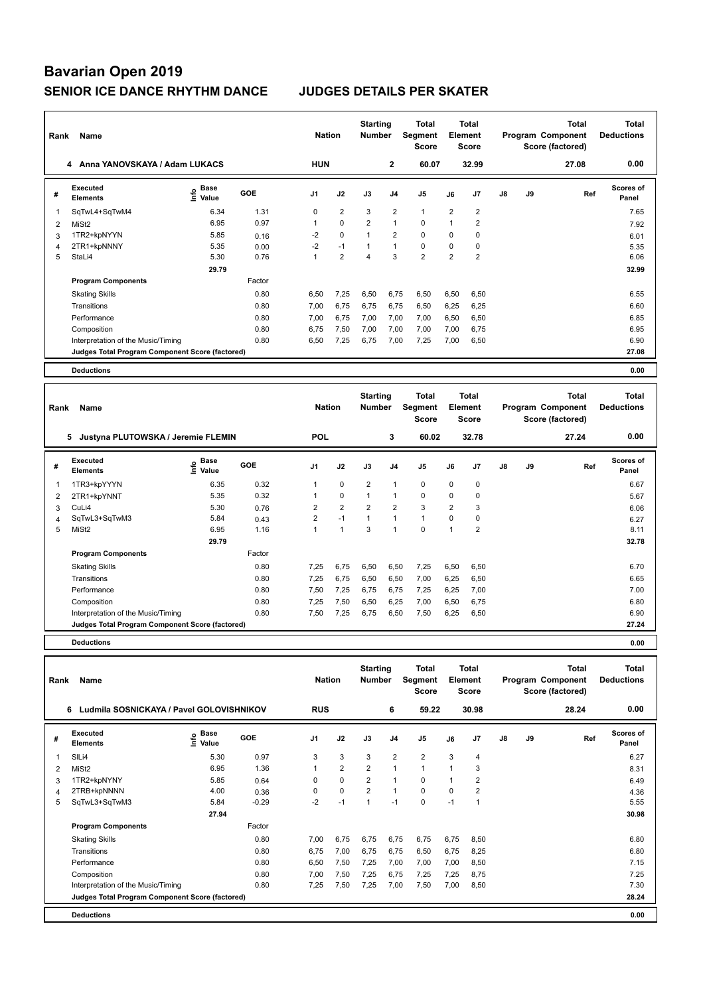| Rank           | Name                                            |                    |        | <b>Nation</b>  |                | <b>Starting</b><br><b>Number</b> |                | <b>Total</b><br>Segment<br><b>Score</b> |                | <b>Total</b><br>Element<br><b>Score</b> |               |    | <b>Total</b><br>Program Component<br>Score (factored) | <b>Total</b><br><b>Deductions</b> |
|----------------|-------------------------------------------------|--------------------|--------|----------------|----------------|----------------------------------|----------------|-----------------------------------------|----------------|-----------------------------------------|---------------|----|-------------------------------------------------------|-----------------------------------|
|                | Anna YANOVSKAYA / Adam LUKACS<br>4              |                    |        | <b>HUN</b>     |                |                                  | $\overline{2}$ | 60.07                                   |                | 32.99                                   |               |    | 27.08                                                 | 0.00                              |
| #              | Executed<br><b>Elements</b>                     | $\frac{e}{E}$ Base | GOE    | J <sub>1</sub> | J2             | J3                               | J <sub>4</sub> | J <sub>5</sub>                          | J6             | J <sub>7</sub>                          | $\mathsf{J}8$ | J9 | Ref                                                   | Scores of<br>Panel                |
| 1              | SqTwL4+SqTwM4                                   | 6.34               | 1.31   | 0              | $\overline{2}$ | 3                                | $\overline{2}$ | $\mathbf{1}$                            | $\overline{2}$ | $\overline{2}$                          |               |    |                                                       | 7.65                              |
| 2              | MiSt <sub>2</sub>                               | 6.95               | 0.97   | 1              | $\Omega$       | $\overline{2}$                   | $\mathbf{1}$   | $\Omega$                                | $\mathbf{1}$   | $\overline{2}$                          |               |    |                                                       | 7.92                              |
| 3              | 1TR2+kpNYYN                                     | 5.85               | 0.16   | $-2$           | $\mathbf 0$    | 1                                | $\overline{2}$ | $\mathbf 0$                             | 0              | 0                                       |               |    |                                                       | 6.01                              |
| $\overline{4}$ | 2TR1+kpNNNY                                     | 5.35               | 0.00   | $-2$           | $-1$           | $\mathbf{1}$                     | $\mathbf{1}$   | 0                                       | 0              | 0                                       |               |    |                                                       | 5.35                              |
| 5              | StaLi4                                          | 5.30               | 0.76   | 1              | $\overline{2}$ | $\overline{4}$                   | 3              | $\overline{2}$                          | $\overline{2}$ | $\overline{2}$                          |               |    |                                                       | 6.06                              |
|                |                                                 | 29.79              |        |                |                |                                  |                |                                         |                |                                         |               |    |                                                       | 32.99                             |
|                | <b>Program Components</b>                       |                    | Factor |                |                |                                  |                |                                         |                |                                         |               |    |                                                       |                                   |
|                | <b>Skating Skills</b>                           |                    | 0.80   | 6,50           | 7,25           | 6,50                             | 6.75           | 6.50                                    | 6,50           | 6,50                                    |               |    |                                                       | 6.55                              |
|                | Transitions                                     |                    | 0.80   | 7,00           | 6,75           | 6,75                             | 6,75           | 6,50                                    | 6,25           | 6,25                                    |               |    |                                                       | 6.60                              |
|                | Performance                                     |                    | 0.80   | 7,00           | 6,75           | 7,00                             | 7,00           | 7,00                                    | 6,50           | 6,50                                    |               |    |                                                       | 6.85                              |
|                | Composition                                     |                    | 0.80   | 6,75           | 7,50           | 7,00                             | 7,00           | 7,00                                    | 7,00           | 6,75                                    |               |    |                                                       | 6.95                              |
|                | Interpretation of the Music/Timing              |                    | 0.80   | 6,50           | 7,25           | 6,75                             | 7,00           | 7,25                                    | 7,00           | 6,50                                    |               |    |                                                       | 6.90                              |
|                | Judges Total Program Component Score (factored) |                    |        |                |                |                                  |                |                                         |                |                                         |               |    |                                                       | 27.08                             |
|                | <b>Deductions</b>                               |                    |        |                |                |                                  |                |                                         |                |                                         |               |    |                                                       | 0.00                              |
|                |                                                 |                    |        |                |                | <b>Starting</b>                  |                | Total                                   |                | Total                                   |               |    | Total                                                 | Total                             |

| Rank | Name                                            |                    |        | <b>Nation</b>  |                | <b>Starting</b><br><b>Number</b> |                | Total<br>Segment<br><b>Score</b> |                | <b>Total</b><br>Element<br>Score |               |    | <b>Total</b><br>Program Component<br>Score (factored) | <b>Total</b><br><b>Deductions</b> |  |
|------|-------------------------------------------------|--------------------|--------|----------------|----------------|----------------------------------|----------------|----------------------------------|----------------|----------------------------------|---------------|----|-------------------------------------------------------|-----------------------------------|--|
|      | 5<br>Justyna PLUTOWSKA / Jeremie FLEMIN         |                    |        | <b>POL</b>     |                |                                  | 3              | 60.02                            |                | 32.78                            |               |    | 27.24                                                 | 0.00                              |  |
| #    | Executed<br><b>Elements</b>                     | $\frac{6}{5}$ Base | GOE    | J1             | J2             | J3                               | J <sub>4</sub> | J <sub>5</sub>                   | J6             | J7                               | $\mathsf{J}8$ | J9 | Ref                                                   | <b>Scores of</b><br>Panel         |  |
|      | 1TR3+kpYYYN                                     | 6.35               | 0.32   | 1              | $\mathbf 0$    | $\overline{2}$                   |                | $\mathbf 0$                      | $\Omega$       | 0                                |               |    |                                                       | 6.67                              |  |
| 2    | 2TR1+kpYNNT                                     | 5.35               | 0.32   |                | $\mathbf 0$    |                                  | $\overline{1}$ | $\mathbf 0$                      | 0              | 0                                |               |    |                                                       | 5.67                              |  |
| 3    | CuLi4                                           | 5.30               | 0.76   | 2              | $\overline{2}$ | $\overline{2}$                   | $\overline{2}$ | 3                                | 2              | 3                                |               |    |                                                       | 6.06                              |  |
| 4    | SqTwL3+SqTwM3                                   | 5.84               | 0.43   | $\overline{2}$ | $-1$           |                                  | $\overline{1}$ | $\mathbf{1}$                     | $\Omega$       | 0                                |               |    |                                                       | 6.27                              |  |
| 5    | MiSt <sub>2</sub>                               | 6.95               | 1.16   | $\overline{1}$ | $\overline{1}$ | 3                                |                | $\mathbf 0$                      | $\overline{ }$ | $\overline{2}$                   |               |    |                                                       | 8.11                              |  |
|      |                                                 | 29.79              |        |                |                |                                  |                |                                  |                |                                  |               |    |                                                       | 32.78                             |  |
|      | <b>Program Components</b>                       |                    | Factor |                |                |                                  |                |                                  |                |                                  |               |    |                                                       |                                   |  |
|      | <b>Skating Skills</b>                           |                    | 0.80   | 7,25           | 6,75           | 6,50                             | 6,50           | 7,25                             | 6,50           | 6,50                             |               |    |                                                       | 6.70                              |  |
|      | Transitions                                     |                    | 0.80   | 7,25           | 6,75           | 6,50                             | 6,50           | 7,00                             | 6,25           | 6,50                             |               |    |                                                       | 6.65                              |  |
|      | Performance                                     |                    | 0.80   | 7,50           | 7,25           | 6,75                             | 6,75           | 7,25                             | 6,25           | 7,00                             |               |    |                                                       | 7.00                              |  |
|      | Composition                                     |                    | 0.80   | 7,25           | 7,50           | 6,50                             | 6,25           | 7,00                             | 6,50           | 6,75                             |               |    |                                                       | 6.80                              |  |
|      | Interpretation of the Music/Timing              |                    | 0.80   | 7,50           | 7,25           | 6,75                             | 6,50           | 7,50                             | 6,25           | 6,50                             |               |    |                                                       | 6.90                              |  |
|      | Judges Total Program Component Score (factored) |                    |        |                |                |                                  |                |                                  |                |                                  |               |    |                                                       | 27.24                             |  |
|      | <b>Deductions</b>                               |                    |        |                |                |                                  |                |                                  |                |                                  |               |    |                                                       | 0.00                              |  |

| Rank           | Name                                            |                              |         | <b>Nation</b>  |                | <b>Starting</b><br><b>Number</b> |                | Total<br>Segment<br><b>Score</b> |                | <b>Total</b><br>Element<br><b>Score</b> |               |    | <b>Total</b><br>Program Component<br>Score (factored) | <b>Total</b><br><b>Deductions</b> |
|----------------|-------------------------------------------------|------------------------------|---------|----------------|----------------|----------------------------------|----------------|----------------------------------|----------------|-----------------------------------------|---------------|----|-------------------------------------------------------|-----------------------------------|
|                | Ludmila SOSNICKAYA / Pavel GOLOVISHNIKOV<br>6   |                              |         | <b>RUS</b>     |                |                                  | 6              | 59.22                            |                | 30.98                                   |               |    | 28.24                                                 | 0.00                              |
| #              | <b>Executed</b><br><b>Elements</b>              | <b>Base</b><br>١mfo<br>Value | GOE     | J <sub>1</sub> | J2             | J3                               | J <sub>4</sub> | J5                               | J6             | J <sub>7</sub>                          | $\mathsf{J}8$ | J9 | Ref                                                   | Scores of<br>Panel                |
| 1              | SILi4                                           | 5.30                         | 0.97    | 3              | 3              | 3                                | $\overline{2}$ | $\overline{2}$                   | 3              | 4                                       |               |    |                                                       | 6.27                              |
| 2              | MiSt <sub>2</sub>                               | 6.95                         | 1.36    |                | $\overline{2}$ | $\overline{2}$                   | $\overline{1}$ | $\mathbf{1}$                     | $\overline{ }$ | 3                                       |               |    |                                                       | 8.31                              |
| 3              | 1TR2+kpNYNY                                     | 5.85                         | 0.64    | $\Omega$       | $\mathbf 0$    | $\overline{2}$                   | $\overline{1}$ | $\Omega$                         | 1              | 2                                       |               |    |                                                       | 6.49                              |
| $\overline{4}$ | 2TRB+kpNNNN                                     | 4.00                         | 0.36    | $\Omega$       | $\mathbf 0$    | $\overline{2}$                   | $\overline{1}$ | $\mathbf 0$                      | $\Omega$       | $\overline{2}$                          |               |    |                                                       | 4.36                              |
| 5              | SqTwL3+SqTwM3                                   | 5.84                         | $-0.29$ | $-2$           | $-1$           |                                  | $-1$           | 0                                | $-1$           |                                         |               |    |                                                       | 5.55                              |
|                |                                                 | 27.94                        |         |                |                |                                  |                |                                  |                |                                         |               |    |                                                       | 30.98                             |
|                | <b>Program Components</b>                       |                              | Factor  |                |                |                                  |                |                                  |                |                                         |               |    |                                                       |                                   |
|                | <b>Skating Skills</b>                           |                              | 0.80    | 7,00           | 6,75           | 6,75                             | 6,75           | 6,75                             | 6,75           | 8,50                                    |               |    |                                                       | 6.80                              |
|                | Transitions                                     |                              | 0.80    | 6,75           | 7,00           | 6,75                             | 6,75           | 6,50                             | 6,75           | 8.25                                    |               |    |                                                       | 6.80                              |
|                | Performance                                     |                              | 0.80    | 6,50           | 7,50           | 7,25                             | 7,00           | 7,00                             | 7,00           | 8,50                                    |               |    |                                                       | 7.15                              |
|                | Composition                                     |                              | 0.80    | 7,00           | 7,50           | 7,25                             | 6,75           | 7,25                             | 7,25           | 8.75                                    |               |    |                                                       | 7.25                              |
|                | Interpretation of the Music/Timing              |                              | 0.80    | 7,25           | 7,50           | 7,25                             | 7,00           | 7,50                             | 7,00           | 8,50                                    |               |    |                                                       | 7.30                              |
|                | Judges Total Program Component Score (factored) |                              |         |                |                |                                  |                |                                  |                |                                         |               |    |                                                       | 28.24                             |
|                | <b>Deductions</b>                               |                              |         |                |                |                                  |                |                                  |                |                                         |               |    |                                                       | 0.00                              |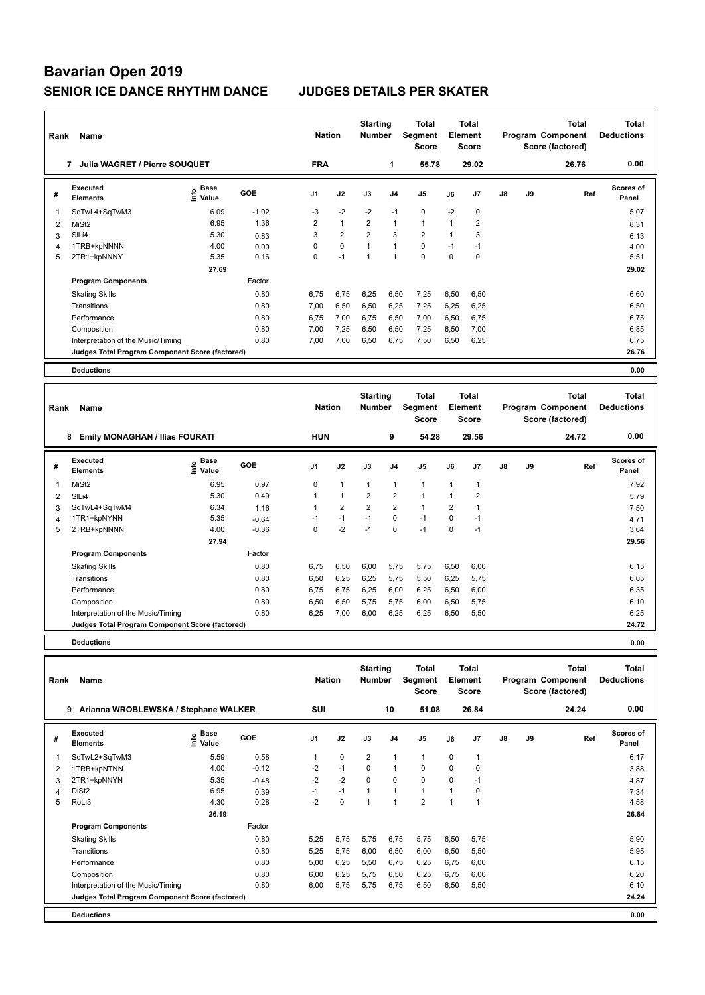| Rank           | Name                                            |                              |            | <b>Nation</b>  |                | <b>Starting</b><br><b>Number</b> |                | Total<br>Segment<br><b>Score</b> |                | Total<br>Element<br><b>Score</b> |               |    | <b>Total</b><br>Program Component<br>Score (factored) | Total<br><b>Deductions</b> |
|----------------|-------------------------------------------------|------------------------------|------------|----------------|----------------|----------------------------------|----------------|----------------------------------|----------------|----------------------------------|---------------|----|-------------------------------------------------------|----------------------------|
|                | Julia WAGRET / Pierre SOUQUET<br>7              |                              |            | <b>FRA</b>     |                |                                  | 1              | 55.78                            |                | 29.02                            |               |    | 26.76                                                 | 0.00                       |
| #              | Executed<br><b>Elements</b>                     | <b>Base</b><br>lnfo<br>Value | <b>GOE</b> | J <sub>1</sub> | J2             | J3                               | J <sub>4</sub> | J <sub>5</sub>                   | J6             | J <sub>7</sub>                   | $\mathsf{J}8$ | J9 | Ref                                                   | <b>Scores of</b><br>Panel  |
| $\overline{1}$ | SqTwL4+SqTwM3                                   | 6.09                         | $-1.02$    | $-3$           | $-2$           | $-2$                             | $-1$           | $\mathbf 0$                      | $-2$           | 0                                |               |    |                                                       | 5.07                       |
| 2              | MiSt <sub>2</sub>                               | 6.95                         | 1.36       | 2              | $\mathbf{1}$   | $\overline{2}$                   | $\mathbf{1}$   | $\mathbf{1}$                     | 1              | $\overline{2}$                   |               |    |                                                       | 8.31                       |
| 3              | SILi4                                           | 5.30                         | 0.83       | 3              | $\overline{2}$ | $\overline{2}$                   | 3              | $\overline{2}$                   | $\overline{1}$ | 3                                |               |    |                                                       | 6.13                       |
| $\overline{4}$ | 1TRB+kpNNNN                                     | 4.00                         | 0.00       | 0              | $\mathbf 0$    |                                  | $\overline{1}$ | $\mathbf 0$                      | $-1$           | $-1$                             |               |    |                                                       | 4.00                       |
| 5              | 2TR1+kpNNNY                                     | 5.35                         | 0.16       | 0              | $-1$           | $\overline{1}$                   | $\overline{1}$ | $\Omega$                         | $\Omega$       | 0                                |               |    |                                                       | 5.51                       |
|                |                                                 | 27.69                        |            |                |                |                                  |                |                                  |                |                                  |               |    |                                                       | 29.02                      |
|                | <b>Program Components</b>                       |                              | Factor     |                |                |                                  |                |                                  |                |                                  |               |    |                                                       |                            |
|                | <b>Skating Skills</b>                           |                              | 0.80       | 6,75           | 6,75           | 6,25                             | 6,50           | 7,25                             | 6,50           | 6,50                             |               |    |                                                       | 6.60                       |
|                | Transitions                                     |                              | 0.80       | 7,00           | 6,50           | 6,50                             | 6,25           | 7,25                             | 6,25           | 6,25                             |               |    |                                                       | 6.50                       |
|                | Performance                                     |                              | 0.80       | 6.75           | 7,00           | 6,75                             | 6,50           | 7,00                             | 6,50           | 6,75                             |               |    |                                                       | 6.75                       |
|                | Composition                                     |                              | 0.80       | 7,00           | 7,25           | 6,50                             | 6,50           | 7,25                             | 6,50           | 7,00                             |               |    |                                                       | 6.85                       |
|                | Interpretation of the Music/Timing              |                              | 0.80       | 7,00           | 7,00           | 6,50                             | 6,75           | 7,50                             | 6,50           | 6,25                             |               |    |                                                       | 6.75                       |
|                | Judges Total Program Component Score (factored) |                              |            |                |                |                                  |                |                                  |                |                                  |               |    |                                                       | 26.76                      |
|                | <b>Deductions</b>                               |                              |            |                |                |                                  |                |                                  |                |                                  |               |    |                                                       | 0.00                       |
|                |                                                 |                              |            |                |                |                                  |                |                                  |                |                                  |               |    |                                                       |                            |

| Rank | Name                                            |                   |            | <b>Nation</b>  |                | <b>Starting</b><br><b>Number</b> |                | <b>Total</b><br><b>Segment</b><br>Score |                | <b>Total</b><br>Element<br><b>Score</b> |    |    | <b>Total</b><br>Program Component<br>Score (factored) | <b>Total</b><br><b>Deductions</b> |  |
|------|-------------------------------------------------|-------------------|------------|----------------|----------------|----------------------------------|----------------|-----------------------------------------|----------------|-----------------------------------------|----|----|-------------------------------------------------------|-----------------------------------|--|
|      | 8<br><b>Emily MONAGHAN / Ilias FOURATI</b>      |                   |            | <b>HUN</b>     |                |                                  | 9              | 54.28                                   |                | 29.56                                   |    |    | 24.72                                                 | 0.00                              |  |
| #    | Executed<br><b>Elements</b>                     | e Base<br>E Value | <b>GOE</b> | J <sub>1</sub> | J2             | J3                               | J <sub>4</sub> | J5                                      | J6             | J7                                      | J8 | J9 | Ref                                                   | Scores of<br>Panel                |  |
|      | MiSt <sub>2</sub>                               | 6.95              | 0.97       | 0              | $\mathbf{1}$   | $\mathbf{1}$                     | -1             | $\overline{1}$                          |                |                                         |    |    |                                                       | 7.92                              |  |
| 2    | SILi4                                           | 5.30              | 0.49       |                |                | $\overline{2}$                   | $\overline{2}$ | 1                                       |                | 2                                       |    |    |                                                       | 5.79                              |  |
| 3    | SqTwL4+SqTwM4                                   | 6.34              | 1.16       |                | $\overline{2}$ | $\overline{2}$                   | $\overline{2}$ | $\mathbf{1}$                            | $\overline{2}$ |                                         |    |    |                                                       | 7.50                              |  |
| 4    | 1TR1+kpNYNN                                     | 5.35              | $-0.64$    | $-1$           | $-1$           | $-1$                             | $\mathbf 0$    | $-1$                                    | 0              | $-1$                                    |    |    |                                                       | 4.71                              |  |
| 5    | 2TRB+kpNNNN                                     | 4.00              | $-0.36$    | 0              | $-2$           | $-1$                             | $\mathbf 0$    | $-1$                                    | $\mathbf 0$    | $-1$                                    |    |    |                                                       | 3.64                              |  |
|      |                                                 | 27.94             |            |                |                |                                  |                |                                         |                |                                         |    |    |                                                       | 29.56                             |  |
|      | <b>Program Components</b>                       |                   | Factor     |                |                |                                  |                |                                         |                |                                         |    |    |                                                       |                                   |  |
|      | <b>Skating Skills</b>                           |                   | 0.80       | 6,75           | 6,50           | 6,00                             | 5,75           | 5,75                                    | 6,50           | 6,00                                    |    |    |                                                       | 6.15                              |  |
|      | Transitions                                     |                   | 0.80       | 6,50           | 6,25           | 6,25                             | 5,75           | 5,50                                    | 6,25           | 5,75                                    |    |    |                                                       | 6.05                              |  |
|      | Performance                                     |                   | 0.80       | 6,75           | 6,75           | 6,25                             | 6,00           | 6,25                                    | 6,50           | 6,00                                    |    |    |                                                       | 6.35                              |  |
|      | Composition                                     |                   | 0.80       | 6,50           | 6,50           | 5,75                             | 5,75           | 6,00                                    | 6,50           | 5,75                                    |    |    |                                                       | 6.10                              |  |
|      | Interpretation of the Music/Timing              |                   | 0.80       | 6,25           | 7,00           | 6,00                             | 6,25           | 6,25                                    | 6,50           | 5,50                                    |    |    |                                                       | 6.25                              |  |
|      | Judges Total Program Component Score (factored) |                   |            |                |                |                                  |                |                                         |                |                                         |    |    |                                                       | 24.72                             |  |
|      | <b>Deductions</b>                               |                   |            |                |                |                                  |                |                                         |                |                                         |    |    |                                                       | 0.00                              |  |

| Rank | Name                                            |                                        |            | <b>Nation</b>  |             | <b>Starting</b><br><b>Number</b> |                          | <b>Total</b><br>Segment<br><b>Score</b> |          | <b>Total</b><br>Element<br><b>Score</b> |               |    | Total<br>Program Component<br>Score (factored) | <b>Total</b><br><b>Deductions</b> |
|------|-------------------------------------------------|----------------------------------------|------------|----------------|-------------|----------------------------------|--------------------------|-----------------------------------------|----------|-----------------------------------------|---------------|----|------------------------------------------------|-----------------------------------|
|      | Arianna WROBLEWSKA / Stephane WALKER<br>9       |                                        |            | <b>SUI</b>     |             |                                  | 10                       | 51.08                                   |          | 26.84                                   |               |    | 24.24                                          | 0.00                              |
| #    | <b>Executed</b><br><b>Elements</b>              | $_{\circ}$ Base<br>$\check{\Xi}$ Value | <b>GOE</b> | J <sub>1</sub> | J2          | J3                               | J <sub>4</sub>           | J5                                      | J6       | J <sub>7</sub>                          | $\mathsf{J}8$ | J9 | Ref                                            | <b>Scores of</b><br>Panel         |
|      | SqTwL2+SqTwM3                                   | 5.59                                   | 0.58       |                | $\mathbf 0$ | $\overline{2}$                   | $\overline{1}$           | $\mathbf{1}$                            | 0        |                                         |               |    |                                                | 6.17                              |
| 2    | 1TRB+kpNTNN                                     | 4.00                                   | $-0.12$    | $-2$           | $-1$        | $\Omega$                         | $\overline{1}$           | $\Omega$                                | $\Omega$ | $\Omega$                                |               |    |                                                | 3.88                              |
| 3    | 2TR1+kpNNYN                                     | 5.35                                   | $-0.48$    | $-2$           | $-2$        | $\Omega$                         | $\mathbf 0$              | $\mathbf 0$                             | $\Omega$ | $-1$                                    |               |    |                                                | 4.87                              |
| 4    | DiSt <sub>2</sub>                               | 6.95                                   | 0.39       | $-1$           | $-1$        |                                  | $\overline{1}$           | $\mathbf{1}$                            |          | $\mathbf 0$                             |               |    |                                                | 7.34                              |
| 5    | RoLi3                                           | 4.30                                   | 0.28       | $-2$           | 0           |                                  | $\overline{\phantom{a}}$ | $\overline{2}$                          | 1        |                                         |               |    |                                                | 4.58                              |
|      |                                                 | 26.19                                  |            |                |             |                                  |                          |                                         |          |                                         |               |    |                                                | 26.84                             |
|      | <b>Program Components</b>                       |                                        | Factor     |                |             |                                  |                          |                                         |          |                                         |               |    |                                                |                                   |
|      | <b>Skating Skills</b>                           |                                        | 0.80       | 5,25           | 5,75        | 5,75                             | 6,75                     | 5,75                                    | 6,50     | 5,75                                    |               |    |                                                | 5.90                              |
|      | Transitions                                     |                                        | 0.80       | 5,25           | 5,75        | 6,00                             | 6,50                     | 6,00                                    | 6,50     | 5.50                                    |               |    |                                                | 5.95                              |
|      | Performance                                     |                                        | 0.80       | 5,00           | 6,25        | 5,50                             | 6,75                     | 6,25                                    | 6,75     | 6,00                                    |               |    |                                                | 6.15                              |
|      | Composition                                     |                                        | 0.80       | 6,00           | 6,25        | 5,75                             | 6,50                     | 6,25                                    | 6,75     | 6.00                                    |               |    |                                                | 6.20                              |
|      | Interpretation of the Music/Timing              |                                        | 0.80       | 6,00           | 5,75        | 5,75                             | 6,75                     | 6,50                                    | 6,50     | 5,50                                    |               |    |                                                | 6.10                              |
|      | Judges Total Program Component Score (factored) |                                        |            |                |             |                                  |                          |                                         |          |                                         |               |    |                                                | 24.24                             |
|      | <b>Deductions</b>                               |                                        |            |                |             |                                  |                          |                                         |          |                                         |               |    |                                                | 0.00                              |